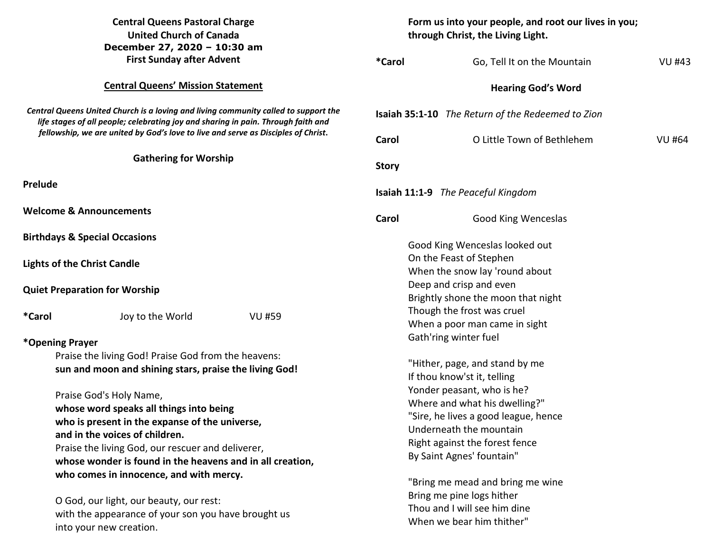| <b>Central Queens Pastoral Charge</b><br><b>United Church of Canada</b><br>December 27, 2020 - 10:30 am                                                                                                                                                                                       |                                          | Form us into your people, and root our lives in you;<br>through Christ, the Living Light.                                  |                                                                                                                                                                      |                                                             |               |  |
|-----------------------------------------------------------------------------------------------------------------------------------------------------------------------------------------------------------------------------------------------------------------------------------------------|------------------------------------------|----------------------------------------------------------------------------------------------------------------------------|----------------------------------------------------------------------------------------------------------------------------------------------------------------------|-------------------------------------------------------------|---------------|--|
|                                                                                                                                                                                                                                                                                               | <b>First Sunday after Advent</b>         |                                                                                                                            | <i><b>*Carol</b></i>                                                                                                                                                 | Go, Tell It on the Mountain                                 | <b>VU #43</b> |  |
|                                                                                                                                                                                                                                                                                               | <b>Central Queens' Mission Statement</b> |                                                                                                                            |                                                                                                                                                                      | <b>Hearing God's Word</b>                                   |               |  |
| Central Queens United Church is a loving and living community called to support the<br>life stages of all people; celebrating joy and sharing in pain. Through faith and<br>fellowship, we are united by God's love to live and serve as Disciples of Christ.<br><b>Gathering for Worship</b> |                                          | <b>Isaiah 35:1-10</b> The Return of the Redeemed to Zion                                                                   |                                                                                                                                                                      |                                                             |               |  |
|                                                                                                                                                                                                                                                                                               |                                          | Carol                                                                                                                      | O Little Town of Bethlehem                                                                                                                                           | <b>VU #64</b>                                               |               |  |
|                                                                                                                                                                                                                                                                                               |                                          | <b>Story</b>                                                                                                               |                                                                                                                                                                      |                                                             |               |  |
| Prelude                                                                                                                                                                                                                                                                                       |                                          |                                                                                                                            |                                                                                                                                                                      | Isaiah 11:1-9 The Peaceful Kingdom                          |               |  |
| <b>Welcome &amp; Announcements</b>                                                                                                                                                                                                                                                            |                                          | Carol                                                                                                                      | <b>Good King Wenceslas</b>                                                                                                                                           |                                                             |               |  |
| <b>Birthdays &amp; Special Occasions</b>                                                                                                                                                                                                                                                      |                                          |                                                                                                                            |                                                                                                                                                                      | Good King Wenceslas looked out                              |               |  |
| <b>Lights of the Christ Candle</b>                                                                                                                                                                                                                                                            |                                          |                                                                                                                            |                                                                                                                                                                      | On the Feast of Stephen<br>When the snow lay 'round about   |               |  |
| <b>Quiet Preparation for Worship</b>                                                                                                                                                                                                                                                          |                                          |                                                                                                                            | Deep and crisp and even<br>Brightly shone the moon that night                                                                                                        |                                                             |               |  |
| *Carol                                                                                                                                                                                                                                                                                        | Joy to the World                         | <b>VU #59</b>                                                                                                              |                                                                                                                                                                      | Though the frost was cruel<br>When a poor man came in sight |               |  |
| *Opening Prayer                                                                                                                                                                                                                                                                               |                                          |                                                                                                                            |                                                                                                                                                                      | Gath'ring winter fuel                                       |               |  |
| Praise the living God! Praise God from the heavens:<br>sun and moon and shining stars, praise the living God!                                                                                                                                                                                 |                                          |                                                                                                                            | "Hither, page, and stand by me<br>If thou know'st it, telling<br>Yonder peasant, who is he?<br>Where and what his dwelling?"<br>"Sire, he lives a good league, hence |                                                             |               |  |
| Praise God's Holy Name,<br>whose word speaks all things into being<br>who is present in the expanse of the universe,                                                                                                                                                                          |                                          |                                                                                                                            |                                                                                                                                                                      |                                                             |               |  |
| and in the voices of children.<br>Praise the living God, our rescuer and deliverer,                                                                                                                                                                                                           |                                          |                                                                                                                            | Underneath the mountain<br>Right against the forest fence<br>By Saint Agnes' fountain"                                                                               |                                                             |               |  |
| whose wonder is found in the heavens and in all creation,<br>who comes in innocence, and with mercy.<br>O God, our light, our beauty, our rest:<br>with the appearance of your son you have brought us<br>into your new creation.                                                             |                                          | "Bring me mead and bring me wine<br>Bring me pine logs hither<br>Thou and I will see him dine<br>When we bear him thither" |                                                                                                                                                                      |                                                             |               |  |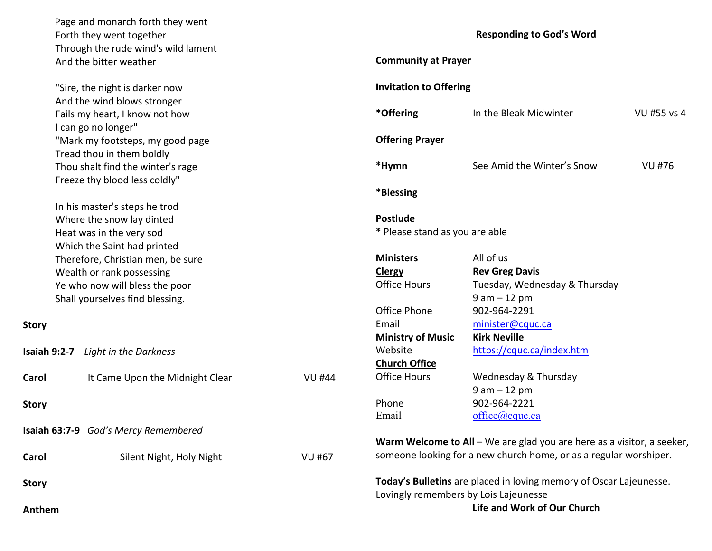Page and monarch forth they went Forth they went together Through the rude wind's wild lament And the bitter weather

 "Sire, the night is darker now And the wind blows stronger Fails my heart, I know not how I can go no longer" "Mark my footsteps, my good page Tread thou in them boldly Thou shalt find the winter's rage Freeze thy blood less coldly"

 In his master's steps he trod Where the snow lay dinted Heat was in the very sod Which the Saint had printed Therefore, Christian men, be sure Wealth or rank possessing Ye who now will bless the poor Shall yourselves find blessing.

## **Story**

|              | <b>Isaiah 9:2-7</b> Light in the Darkness |               |
|--------------|-------------------------------------------|---------------|
| Carol        | It Came Upon the Midnight Clear           | VU #44        |
| <b>Story</b> |                                           |               |
|              | Isaiah 63:7-9 God's Mercy Remembered      |               |
| Carol        | Silent Night, Holy Night                  | <b>VU #67</b> |
| <b>Story</b> |                                           |               |
| Anthem       |                                           |               |

## **Responding to God's Word**

| <b>Community at Prayer</b>                        |                               |             |  |  |
|---------------------------------------------------|-------------------------------|-------------|--|--|
| <b>Invitation to Offering</b>                     |                               |             |  |  |
| *Offering                                         | In the Bleak Midwinter        | VU #55 vs 4 |  |  |
| <b>Offering Prayer</b>                            |                               |             |  |  |
| *Hymn                                             | See Amid the Winter's Snow    | VU #76      |  |  |
| *Blessing                                         |                               |             |  |  |
| <b>Postlude</b><br>* Please stand as you are able |                               |             |  |  |
| <b>Ministers</b>                                  | All of us                     |             |  |  |
| <b>Clergy</b>                                     | <b>Rev Greg Davis</b>         |             |  |  |
| <b>Office Hours</b>                               | Tuesday, Wednesday & Thursday |             |  |  |
|                                                   | $9 am - 12 pm$                |             |  |  |
| Office Phone                                      | 902-964-2291                  |             |  |  |
| Email                                             | minister@cquc.ca              |             |  |  |
| <b>Ministry of Music</b>                          | <b>Kirk Neville</b>           |             |  |  |
| Website                                           | https://cquc.ca/index.htm     |             |  |  |
| <b>Church Office</b>                              |                               |             |  |  |
| <b>Office Hours</b>                               | Wednesday & Thursday          |             |  |  |
|                                                   | $9$ am $-12$ pm               |             |  |  |
| Phone                                             | 902-964-2221                  |             |  |  |
| Email                                             | office@cque.ca                |             |  |  |
|                                                   |                               |             |  |  |

**Warm Welcome to All** – We are glad you are here as a visitor, a seeker,someone looking for a new church home, or as a regular worshiper.

**Today's Bulletins** are placed in loving memory of Oscar Lajeunesse. Lovingly remembers by Lois Lajeunesse **Life and Work of Our Church**